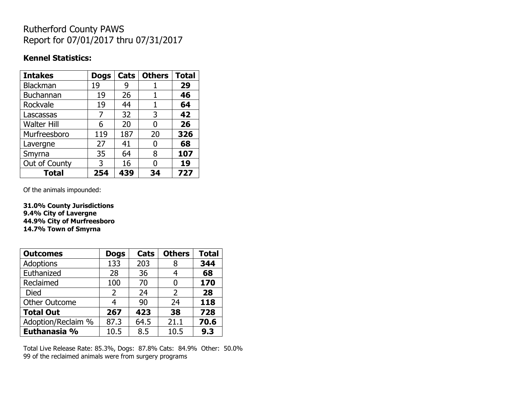## Rutherford County PAWS Report for 07/01/2017 thru 07/31/2017

## **Kennel Statistics:**

| <b>Intakes</b>     | <b>Dogs</b> | Cats | <b>Others</b> | <b>Total</b> |
|--------------------|-------------|------|---------------|--------------|
| <b>Blackman</b>    | 19          | 9    |               | 29           |
| <b>Buchannan</b>   | 19          | 26   | 1             | 46           |
| Rockvale           | 19          | 44   | 1             | 64           |
| Lascassas          | 7           | 32   | 3             | 42           |
| <b>Walter Hill</b> | 6           | 20   | 0             | 26           |
| Murfreesboro       | 119         | 187  | 20            | 326          |
| Lavergne           | 27          | 41   | 0             | 68           |
| Smyrna             | 35          | 64   | 8             | 107          |
| Out of County      | 3           | 16   | O             | 19           |
| <b>Total</b>       | 254         | 439  | 34            | 727          |

Of the animals impounded:

**31.0% County Jurisdictions 9.4% City of Lavergne 44.9% City of Murfreesboro 14.7% Town of Smyrna**

| <b>Outcomes</b>      | <b>Dogs</b>    | Cats | <b>Others</b>  | <b>Total</b> |
|----------------------|----------------|------|----------------|--------------|
| <b>Adoptions</b>     | 133            | 203  | 8              | 344          |
| Euthanized           | 28             | 36   | 4              | 68           |
| Reclaimed            | 100            | 70   | 0              | 170          |
| <b>Died</b>          | $\overline{2}$ | 24   | $\overline{2}$ | 28           |
| <b>Other Outcome</b> | 4              | 90   | 24             | 118          |
| <b>Total Out</b>     | 267            | 423  | 38             | 728          |
| Adoption/Reclaim %   | 87.3           | 64.5 | 21.1           | 70.6         |
| Euthanasia %         | 10.5           | 8.5  | 10.5           | 9.3          |

Total Live Release Rate: 85.3%, Dogs: 87.8% Cats: 84.9% Other: 50.0% 99 of the reclaimed animals were from surgery programs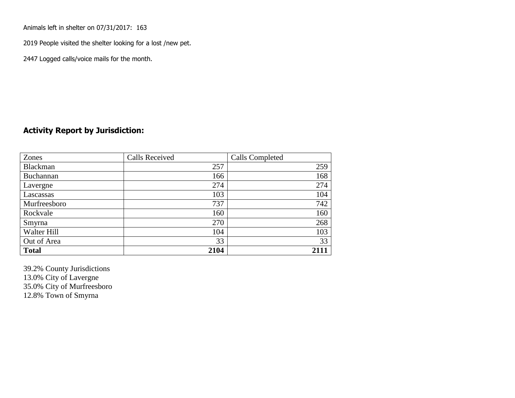Animals left in shelter on 07/31/2017: 163

2019 People visited the shelter looking for a lost /new pet.

2447 Logged calls/voice mails for the month.

## **Activity Report by Jurisdiction:**

| Zones        | <b>Calls Received</b> | Calls Completed |
|--------------|-----------------------|-----------------|
| Blackman     | 257                   | 259             |
| Buchannan    | 166                   | 168             |
| Lavergne     | 274                   | 274             |
| Lascassas    | 103                   | 104             |
| Murfreesboro | 737                   | 742             |
| Rockvale     | 160                   | 160             |
| Smyrna       | 270                   | 268             |
| Walter Hill  | 104                   | 103             |
| Out of Area  | 33                    | 33              |
| <b>Total</b> | 2104                  | 2111            |

39.2% County Jurisdictions 13.0% City of Lavergne 35.0% City of Murfreesboro 12.8% Town of Smyrna